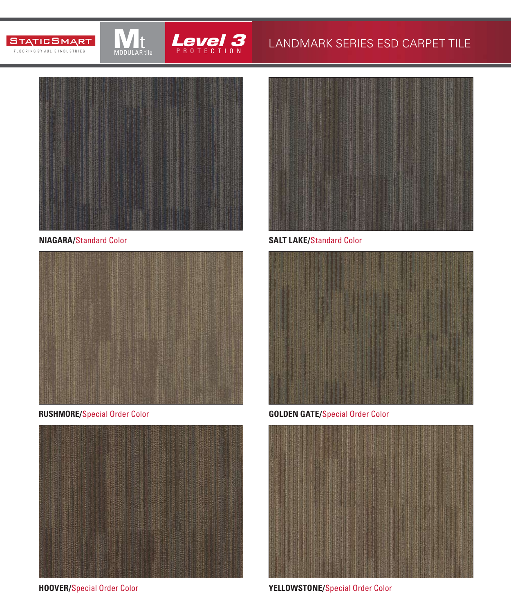



### LANDMARK SERIES ESD CARPET TILE



MODULAR tile

**NIAGARA/**Standard Color







**SALT LAKE/**Standard Color



**RUSHMORE/**Special Order Color **GOLDEN GATE/**Special Order Color



**HOOVER/**Special Order Color **YELLOWSTONE/**Special Order Color